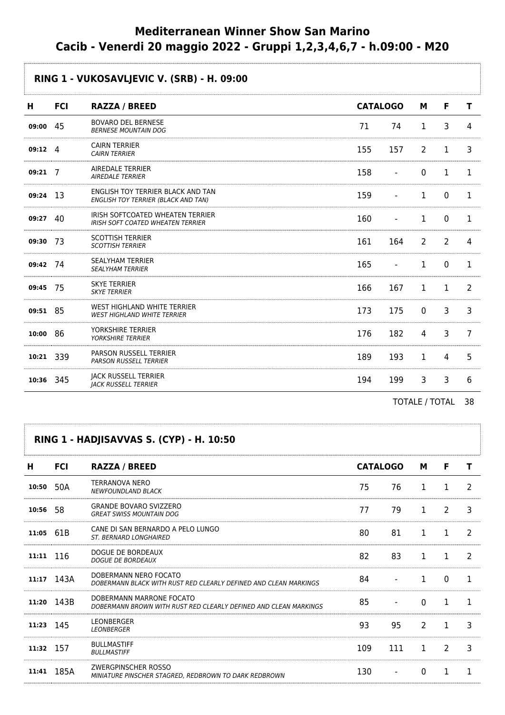# **Mediterranean Winner Show San Marino Cacib - Venerdi 20 maggio 2022 - Gruppi 1,2,3,4,6,7 - h.09:00 - M20**

## **RING 1 - VUKOSAVLJEVIC V. (SRB) - H. 09:00**

| н         | <b>FCI</b> | <b>RAZZA / BREED</b>                                                            |     | <b>CATALOGO</b>                                                                                                                                                                                                                                                                                 | М            | F.             | т  |
|-----------|------------|---------------------------------------------------------------------------------|-----|-------------------------------------------------------------------------------------------------------------------------------------------------------------------------------------------------------------------------------------------------------------------------------------------------|--------------|----------------|----|
| 09:00     | 45         | <b>BOVARO DEL BERNESE</b><br><b>BERNESE MOUNTAIN DOG</b>                        | 71  | 74                                                                                                                                                                                                                                                                                              | 1            | 3              | Δ  |
| 09:12     | 4          | <b>CAIRN TERRIER</b><br><b>CAIRN TERRIER</b>                                    | 155 | 157                                                                                                                                                                                                                                                                                             | 2            | 1              | 3  |
| 09:21     | 7          | AIREDALE TERRIER<br><b>AIREDALE TERRIER</b>                                     | 158 | $\blacksquare$                                                                                                                                                                                                                                                                                  | $\Omega$     | 1              | 1  |
| 09:24     | 13         | ENGLISH TOY TERRIER BLACK AND TAN<br><b>ENGLISH TOY TERRIER (BLACK AND TAN)</b> | 159 |                                                                                                                                                                                                                                                                                                 | 1            | $\mathbf{0}$   | 1  |
| 09:27     | 40         | IRISH SOFTCOATED WHEATEN TERRIER<br><b>IRISH SOFT COATED WHEATEN TERRIER</b>    | 160 |                                                                                                                                                                                                                                                                                                 | 1            | 0              |    |
| 09:30     | -73        | <b>SCOTTISH TERRIER</b><br><b>SCOTTISH TERRIER</b>                              | 161 | 164                                                                                                                                                                                                                                                                                             | 2            | 2              | 4  |
| 09:42 74  |            | <b>SEALYHAM TERRIER</b><br><b>SEALYHAM TERRIER</b>                              | 165 | $\overline{\phantom{0}}$                                                                                                                                                                                                                                                                        | 1            | 0              | 1. |
| 09:45     | 75         | <b>SKYE TERRIER</b><br><b>SKYE TERRIER</b>                                      | 166 | 167                                                                                                                                                                                                                                                                                             | $\mathbf{1}$ | 1              | 2  |
| 09:51 85  |            | WEST HIGHLAND WHITE TERRIER<br><b>WEST HIGHLAND WHITE TERRIER</b>               | 173 | 175                                                                                                                                                                                                                                                                                             | $\Omega$     | 3              | 3  |
| 10:00     | 86         | YORKSHIRE TERRIER<br><b>YORKSHIRE TERRIER</b>                                   | 176 | 182                                                                                                                                                                                                                                                                                             | 4            | $\overline{3}$ | 7  |
| 10:21 339 |            | <b>PARSON RUSSELL TERRIER</b><br><b>PARSON RUSSELL TERRIER</b>                  | 189 | 193                                                                                                                                                                                                                                                                                             | $\mathbf{1}$ | 4              | 5  |
| 10:36     | 345        | <b>JACK RUSSELL TERRIER</b><br><b>JACK RUSSELL TERRIER</b>                      | 194 | 199                                                                                                                                                                                                                                                                                             | 3            | 3              | 6  |
|           |            |                                                                                 |     | $T$ $\cap$ $T$ $\wedge$ $\vdots$ $T$ $\wedge$ $T$ $\wedge$ $T$ $\wedge$ $T$ $\wedge$ $T$ $\wedge$ $T$ $\wedge$ $T$ $\wedge$ $T$ $\wedge$ $T$ $\wedge$ $T$ $\wedge$ $T$ $\wedge$ $T$ $\wedge$ $T$ $\wedge$ $T$ $\wedge$ $T$ $\wedge$ $T$ $\wedge$ $T$ $\wedge$ $T$ $\wedge$ $T$ $\wedge$ $T$ $\$ |              |                | ົດ |

TOTALE / TOTAL 38

#### **RING 1 - HADJISAVVAS S. (CYP) - H. 10:50**

| н           | <b>FCI</b> | <b>RAZZA / BREED</b>                                                                         |     | <b>CATALOGO</b> | М             | F             |   |
|-------------|------------|----------------------------------------------------------------------------------------------|-----|-----------------|---------------|---------------|---|
| 10:50       | 50A        | <b>TERRANOVA NERO</b><br><b>NEWFOUNDLAND BLACK</b>                                           | 75  | 76              |               |               | 2 |
| 10:56       | -58        | <b>GRANDE BOVARO SVIZZERO</b><br><b>GREAT SWISS MOUNTAIN DOG</b>                             | 77  | 79              |               | $\mathcal{P}$ | 3 |
| 11:05       | 61B        | CANE DI SAN BERNARDO A PELO LUNGO<br><b>ST. BERNARD LONGHAIRED</b>                           | 80  | 81              |               |               |   |
| $11:11$ 116 |            | DOGUE DE BORDEAUX<br><b>DOGUE DE BORDEAUX</b>                                                | 82  | 83              |               |               |   |
|             | 11:17 143A | DOBERMANN NERO FOCATO<br>DOBERMANN BLACK WITH RUST RED CLEARLY DEFINED AND CLEAN MARKINGS    | 84  |                 |               |               |   |
| 11:20       | 143B       | DOBERMANN MARRONE FOCATO<br>DOBERMANN BROWN WITH RUST RED CLEARLY DEFINED AND CLEAN MARKINGS | 85  |                 |               |               |   |
| 11:23 145   |            | <b>I FONBERGER</b><br>LEONBERGER                                                             | 93  | 95              | $\mathcal{P}$ |               | ٦ |
| 11:32 157   |            | <b>BULLMASTIFF</b><br><b>BULLMASTIFF</b>                                                     | 109 | 111             |               |               |   |
| 11:41       | 185A       | ZWERGPINSCHER ROSSO<br>MINIATURE PINSCHER STAGRED. REDBROWN TO DARK REDBROWN                 | 130 |                 |               |               |   |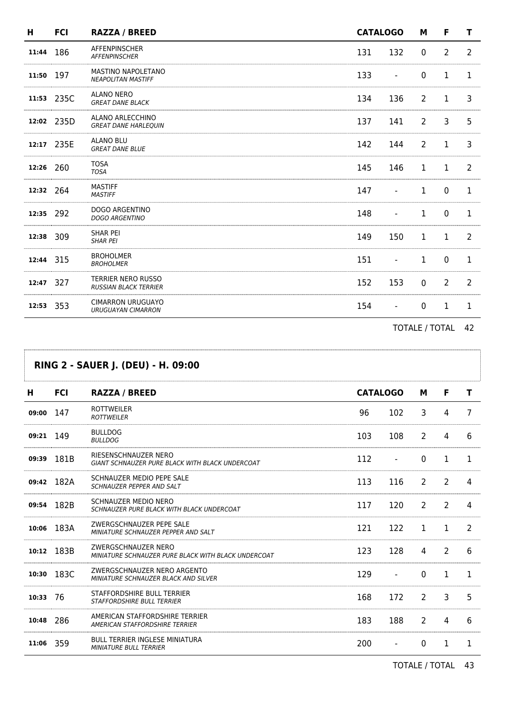| н         | <b>FCI</b> | <b>RAZZA / BREED</b>                                      | <b>CATALOGO</b> |     | M           | F              | т  |
|-----------|------------|-----------------------------------------------------------|-----------------|-----|-------------|----------------|----|
| 11:44     | 186        | <b>AFFENPINSCHER</b><br><b>AFFENPINSCHER</b>              | 131             | 132 | $\mathbf 0$ | $\overline{2}$ | 2  |
| 11:50     | 197        | MASTINO NAPOLETANO<br><b>NEAPOLITAN MASTIFF</b>           | 133             |     | $\Omega$    | 1              | Т. |
|           | 11:53 235C | ALANO NERO<br><b>GREAT DANE BLACK</b>                     | 134             | 136 | 2           | 1              | 3  |
|           | 12:02 235D | ALANO ARLECCHINO<br><b>GREAT DANE HARLEQUIN</b>           | 137             | 141 | 2           | 3              | 5. |
|           | 12:17 235E | <b>ALANO BLU</b><br><b>GREAT DANE BLUE</b>                | 142             | 144 | 2           | 1              | 3  |
| 12:26 260 |            | <b>TOSA</b><br><b>TOSA</b>                                | 145             | 146 | 1           | 1              | 2  |
| 12:32     | 264        | <b>MASTIFF</b><br><b>MASTIFF</b>                          | 147             |     | 1           | 0              | 1  |
| 12:35     | 292        | <b>DOGO ARGENTINO</b><br><b>DOGO ARGENTINO</b>            | 148             |     | 1           | $\Omega$       | 1  |
| 12:38     | 309        | <b>SHAR PEI</b><br><b>SHAR PEI</b>                        | 149             | 150 | 1           | 1              | 2  |
| 12:44 315 |            | <b>BROHOLMER</b><br><b>BROHOLMER</b>                      | 151             |     | 1           | 0              |    |
| 12:47 327 |            | <b>TERRIER NERO RUSSO</b><br><b>RUSSIAN BLACK TERRIER</b> | 152             | 153 | $\Omega$    | 2              | 2  |
| 12:53     | 353        | <b>CIMARRON URUGUAYO</b><br><b>URUGUAYAN CIMARRON</b>     | 154             |     | $\Omega$    |                | 1  |

TOTALE / TOTAL 42

.....

| <b>RING 2 - SAUER J. (DEU) - H. 09:00</b> |            |                                                                            |                 |     |              |                |    |  |
|-------------------------------------------|------------|----------------------------------------------------------------------------|-----------------|-----|--------------|----------------|----|--|
| н                                         | <b>FCI</b> | <b>RAZZA / BREED</b>                                                       | <b>CATALOGO</b> |     | м            | F              | т  |  |
| 09:00                                     | 147        | <b>ROTTWEILER</b><br><b>ROTTWEILER</b>                                     | 96              | 102 | 3            | 4              | 7  |  |
| 09:21                                     | -149       | <b>BULLDOG</b><br><b>BULLDOG</b>                                           | 103             | 108 | 2            | 4              | 6  |  |
| 09:39                                     | 181B       | RIESENSCHNAUZER NERO<br>GIANT SCHNAUZER PURE BLACK WITH BLACK UNDERCOAT    | 112             |     | $\mathbf{0}$ | 1              | ı. |  |
| 09:42                                     | 182A       | SCHNAUZER MEDIO PEPE SALE<br><b>SCHNAUZER PEPPER AND SALT</b>              | 113             | 116 | 2            | 2              | 4  |  |
|                                           | 09:54 182B | <b>SCHNAUZER MEDIO NERO</b><br>SCHNAUZER PURE BLACK WITH BLACK UNDERCOAT   | 117             | 120 | 2            | 2              | 4  |  |
|                                           | 10:06 183A | ZWERGSCHNAUZER PEPE SALE<br>MINIATURE SCHNAUZER PEPPER AND SALT            | 121             | 122 | 1            |                |    |  |
| 10:12                                     | 183B       | ZWERGSCHNAUZER NERO<br>MINIATURE SCHNAUZER PURE BLACK WITH BLACK UNDERCOAT | 123             | 128 | 4            | $\overline{2}$ | 6  |  |
| 10:30                                     | 183C       | ZWERGSCHNAUZER NERO ARGENTO<br>MINIATURE SCHNAUZER BLACK AND SILVER        | 129             |     | $\Omega$     | 1              | 1  |  |
| $10:33$ 76                                |            | STAFFORDSHIRE BULL TERRIER<br><b>STAFFORDSHIRE BULL TERRIER</b>            | 168             | 172 | 2            | 3              | 5  |  |
| 10:48                                     | 286        | AMERICAN STAFFORDSHIRE TERRIER<br>AMERICAN STAFFORDSHIRE TERRIER           | 183             | 188 | 2            | 4              | 6  |  |
| 11:06                                     | -359       | <b>BULL TERRIER INGLESE MINIATURA</b><br><b>MINIATURE BULL TERRIER</b>     | 200             |     | $\mathbf{0}$ | 1              | 1  |  |

TOTALE / TOTAL 43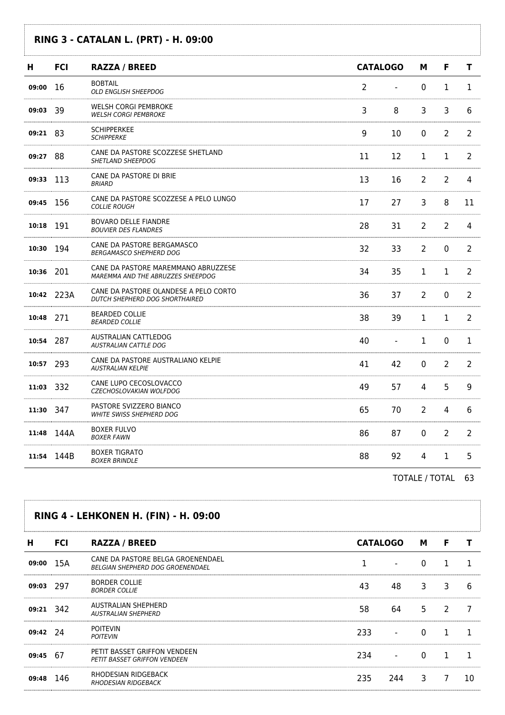### **RING 3 - CATALAN L. (PRT) - H. 09:00**

| н         | <b>FCI</b> | <b>RAZZA / BREED</b>                                                     | <b>CATALOGO</b> |    | м              | F              | т  |
|-----------|------------|--------------------------------------------------------------------------|-----------------|----|----------------|----------------|----|
| 09:00     | -16        | <b>BOBTAIL</b><br><b>OLD ENGLISH SHEEPDOG</b>                            | 2               |    | 0              | 1              | 1  |
| 09:03     | -39        | WELSH CORGI PEMBROKE<br><b>WELSH CORGI PEMBROKE</b>                      | 3               | 8  | 3              | 3              | 6  |
| 09:21 83  |            | <b>SCHIPPERKEE</b><br><b>SCHIPPERKE</b>                                  | 9               | 10 | $\mathbf 0$    | $\overline{2}$ | 2  |
| 09:27     | 88         | CANE DA PASTORE SCOZZESE SHETLAND<br>SHETLAND SHEEPDOG                   | 11              | 12 | $\mathbf 1$    | $\mathbf 1$    | 2  |
| 09:33     | 113        | CANE DA PASTORE DI BRIE<br><b>BRIARD</b>                                 | 13              | 16 | $\overline{2}$ | $\overline{2}$ | 4  |
| 09:45 156 |            | CANE DA PASTORE SCOZZESE A PELO LUNGO<br><b>COLLIE ROUGH</b>             | 17              | 27 | 3              | 8              | 11 |
| 10:18 191 |            | <b>BOVARO DELLE FIANDRE</b><br><b>BOUVIER DES FLANDRES</b>               | 28              | 31 | $\overline{2}$ | $\overline{2}$ | 4  |
| 10:30 194 |            | CANE DA PASTORE BERGAMASCO<br><b>BERGAMASCO SHEPHERD DOG</b>             | 32              | 33 | $\overline{2}$ | 0              | 2  |
| 10:36 201 |            | CANE DA PASTORE MAREMMANO ABRUZZESE<br>MAREMMA AND THE ABRUZZES SHEEPDOG | 34              | 35 | $\mathbf{1}$   | $\mathbf{1}$   | 2  |
|           | 10:42 223A | CANE DA PASTORE OLANDESE A PELO CORTO<br>DUTCH SHEPHERD DOG SHORTHAIRED  | 36              | 37 | $\overline{2}$ | $\Omega$       | 2  |
| 10:48 271 |            | <b>BEARDED COLLIE</b><br><b>BEARDED COLLIE</b>                           | 38              | 39 | $\mathbf{1}$   | 1              | 2  |
| 10:54 287 |            | AUSTRALIAN CATTLEDOG<br>AUSTRALIAN CATTLE DOG                            | 40              |    | $\mathbf{1}$   | 0              | 1  |
| 10:57 293 |            | CANE DA PASTORE AUSTRALIANO KELPIE<br><b>AUSTRALIAN KELPIE</b>           | 41              | 42 | $\mathbf 0$    | $\overline{2}$ | 2  |
| 11:03 332 |            | CANE LUPO CECOSLOVACCO<br>CZECHOSLOVAKIAN WOLFDOG                        | 49              | 57 | $\overline{4}$ | 5              | 9  |
| 11:30 347 |            | PASTORE SVIZZERO BIANCO<br><b>WHITE SWISS SHEPHERD DOG</b>               | 65              | 70 | $\overline{2}$ | 4              | 6  |
|           | 11:48 144A | <b>BOXER FULVO</b><br><b>BOXER FAWN</b>                                  | 86              | 87 | $\mathbf 0$    | $\overline{2}$ | 2  |
| 11:54     | 144B       | <b>BOXER TIGRATO</b><br><b>BOXER BRINDLE</b>                             | 88              | 92 | $\overline{4}$ | 1              | 5  |

TOTALE / TOTAL 63

|            |            | <b>RING 4 - LEHKONEN H. (FIN) - H. 09:00</b>                                 |                 |     |   |   |   |
|------------|------------|------------------------------------------------------------------------------|-----------------|-----|---|---|---|
| н          | <b>FCI</b> | <b>RAZZA / BREED</b>                                                         | <b>CATALOGO</b> |     | M | F |   |
| 09:00      | 15A        | CANE DA PASTORE BELGA GROENENDAEL<br><b>BELGIAN SHEPHERD DOG GROENENDAEL</b> |                 |     |   |   |   |
| 09:03 297  |            | <b>BORDER COLLIE</b><br><b>BORDER COLLIE</b>                                 | 43              | 48  | 3 | 3 | 6 |
| 09:21 342  |            | AUSTRALIAN SHEPHERD<br><b>AUSTRALIAN SHEPHERD</b>                            | 58              | 64  | 5 |   |   |
| $09:42$ 74 |            | <b>POITEVIN</b><br><b>POITEVIN</b>                                           | 233.            |     |   |   |   |
| 09:45 67   |            | PETIT BASSET GRIFFON VENDEEN<br><b>PETIT BASSET GRIFFON VENDEEN</b>          | 234             |     |   |   |   |
|            | 146        | RHODESIAN RIDGEBACK<br><b>RHODESIAN RIDGEBACK</b>                            | 235             | 244 | ٦ |   |   |